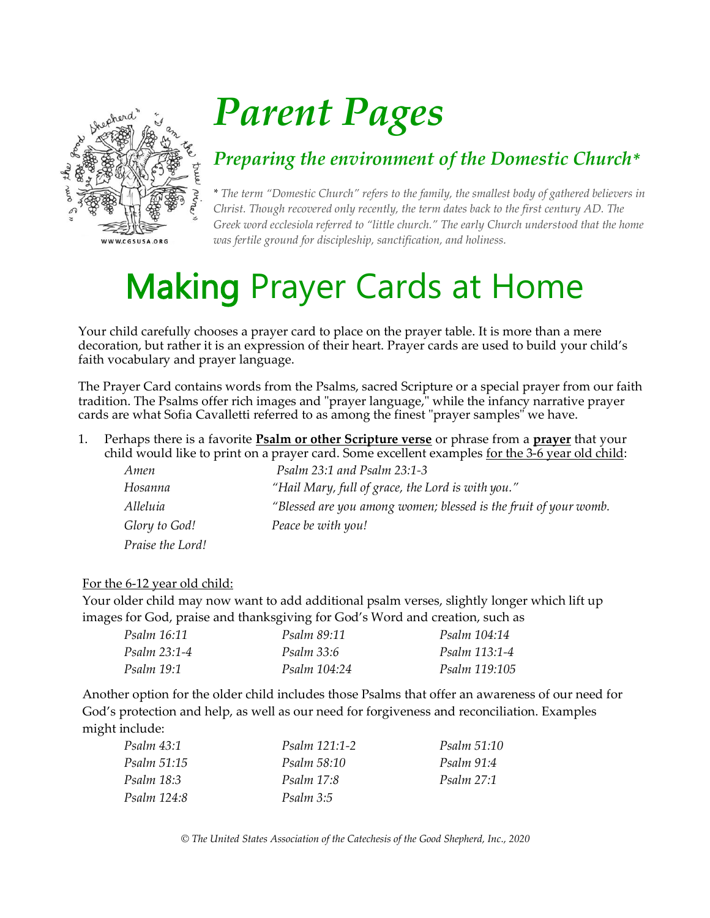

# *Parent Pages*

### *Preparing the environment of the Domestic Church\**

*\* The term "Domestic Church" refers to the family, the smallest body of gathered believers in Christ. Though recovered only recently, the term dates back to the first century AD. The Greek word ecclesiola referred to "little church." The early Church understood that the home was fertile ground for discipleship, sanctification, and holiness.*

### Making Prayer Cards at Home

Your child carefully chooses a prayer card to place on the prayer table. It is more than a mere decoration, but rather it is an expression of their heart. Prayer cards are used to build your child's faith vocabulary and prayer language.

The Prayer Card contains words from the Psalms, sacred Scripture or a special prayer from our faith tradition. The Psalms offer rich images and "prayer language," while the infancy narrative prayer cards are what Sofia Cavalletti referred to as among the finest "prayer samples" we have.

1. Perhaps there is a favorite **Psalm or other Scripture verse** or phrase from a **prayer** that your child would like to print on a prayer card. Some excellent examples for the 3-6 year old child:

| Amen             | Psalm 23:1 and Psalm 23:1-3                                      |  |
|------------------|------------------------------------------------------------------|--|
| Hosanna          | "Hail Mary, full of grace, the Lord is with you."                |  |
| Alleluia         | "Blessed are you among women; blessed is the fruit of your womb. |  |
| Glory to God!    | Peace be with you!                                               |  |
| Praise the Lord! |                                                                  |  |

#### For the 6-12 year old child:

Your older child may now want to add additional psalm verses, slightly longer which lift up images for God, praise and thanksgiving for God's Word and creation, such as

| Psalm 16:11  | Psalm 89:11       | <i>Psalm</i> 104:14 |
|--------------|-------------------|---------------------|
| Psalm 23:1-4 | <i>Psalm 33:6</i> | Psalm 113:1-4       |
| Psalm 19:1   | Psalm 104:24      | Psalm 119:105       |

Another option for the older child includes those Psalms that offer an awareness of our need for God's protection and help, as well as our need for forgiveness and reconciliation. Examples might include:

| Psalm 43:1        | <i>Psalm 121:1-2</i> | <i>Psalm</i> 51:10 |
|-------------------|----------------------|--------------------|
| Psalm 51:15       | Psalm 58:10          | Psalm 91:4         |
| <i>Psalm</i> 18:3 | <i>Psalm</i> 17:8    | <i>Psalm</i> 27:1  |
| Psalm 124:8       | Psalm 3:5            |                    |

*© The United States Association of the Catechesis of the Good Shepherd, Inc., 2020*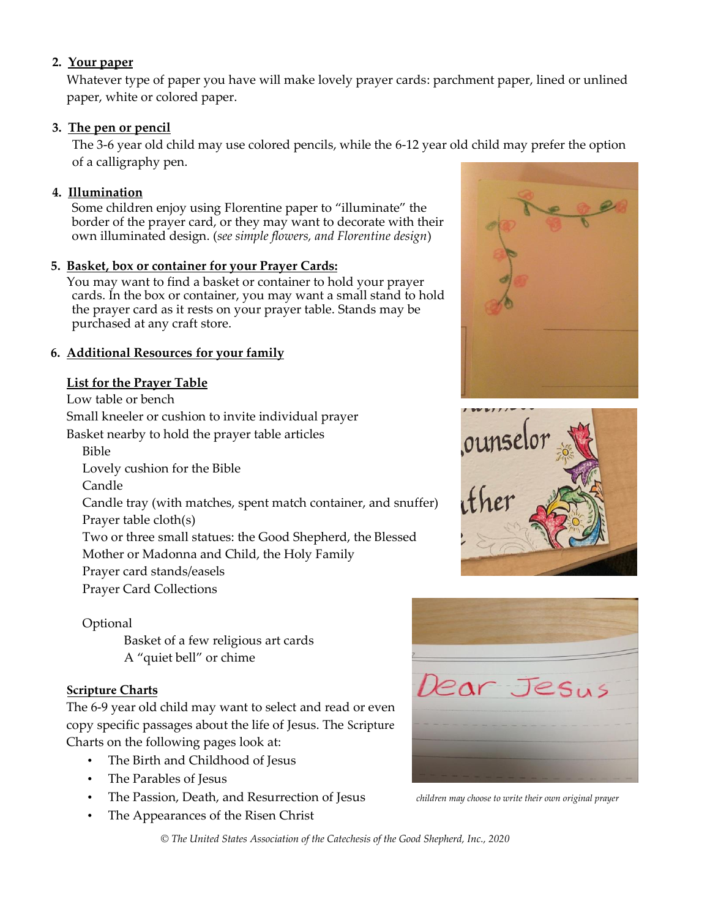#### **2. Your paper**

Whatever type of paper you have will make lovely prayer cards: parchment paper, lined or unlined paper, white or colored paper.

#### **3. The pen or pencil**

The 3-6 year old child may use colored pencils, while the 6-12 year old child may prefer the option of a calligraphy pen.

#### **4. Illumination**

Some children enjoy using Florentine paper to "illuminate" the border of the prayer card, or they may want to decorate with their own illuminated design. (*see simple flowers, and Florentine design*)

#### **5. Basket, box or container for your Prayer Cards:**

You may want to find a basket or container to hold your prayer cards. In the box or container, you may want a small stand to hold the prayer card as it rests on your prayer table. Stands may be purchased at any craft store.

#### **6. Additional Resources for your family**

#### **List for the Prayer Table**

Low table or bench

Small kneeler or cushion to invite individual prayer

Basket nearby to hold the prayer table articles

Bible

Lovely cushion for the Bible

Candle

Candle tray (with matches, spent match container, and snuffer) Prayer table cloth(s)

Two or three small statues: the Good Shepherd, the Blessed

Mother or Madonna and Child, the Holy Family

Prayer card stands/easels

Prayer Card Collections

Optional

Basket of a few religious art cards A "quiet bell" or chime

#### **Scripture Charts**

The 6-9 year old child may want to select and read or even copy specific passages about the life of Jesus. The Scripture Charts on the following pages look at:

- The Birth and Childhood of Jesus
- The Parables of Jesus
- The Passion, Death, and Resurrection of Jesus *children may choose to write their own original prayer*
- The Appearances of the Risen Christ







*© The United States Association of the Catechesis of the Good Shepherd, Inc., 2020*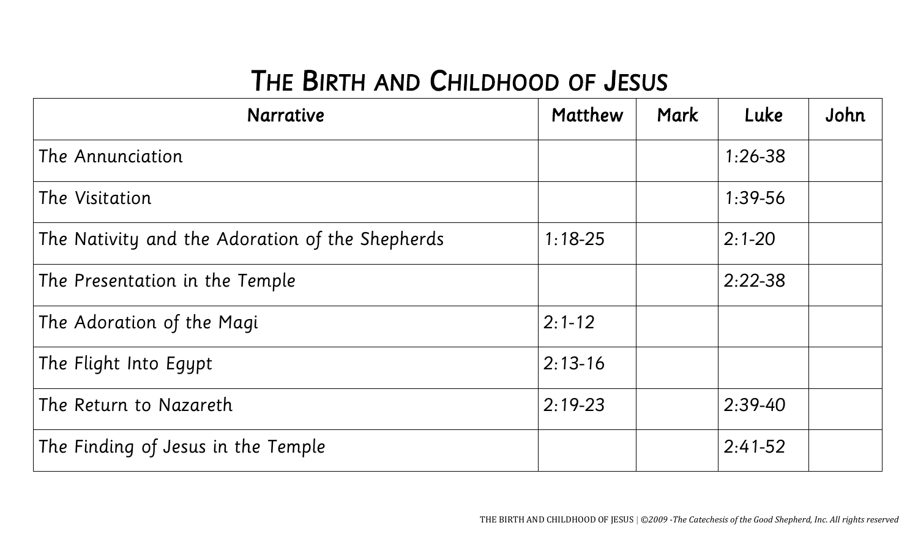### THE BIRTH AND CHILDHOOD OF JESUS

| <b>Narrative</b>                                | Matthew    | Mark | Luke        | John |
|-------------------------------------------------|------------|------|-------------|------|
| The Annunciation                                |            |      | $1:26 - 38$ |      |
| The Visitation                                  |            |      | $1:39-56$   |      |
| The Nativity and the Adoration of the Shepherds | $1:18-25$  |      | $2:1 - 20$  |      |
| The Presentation in the Temple                  |            |      | $2:22-38$   |      |
| The Adoration of the Magi                       | $2:1 - 12$ |      |             |      |
| The Flight Into Egypt                           | $2:13-16$  |      |             |      |
| The Return to Nazareth                          | $2:19-23$  |      | $2:39-40$   |      |
| The Finding of Jesus in the Temple              |            |      | $2:41-52$   |      |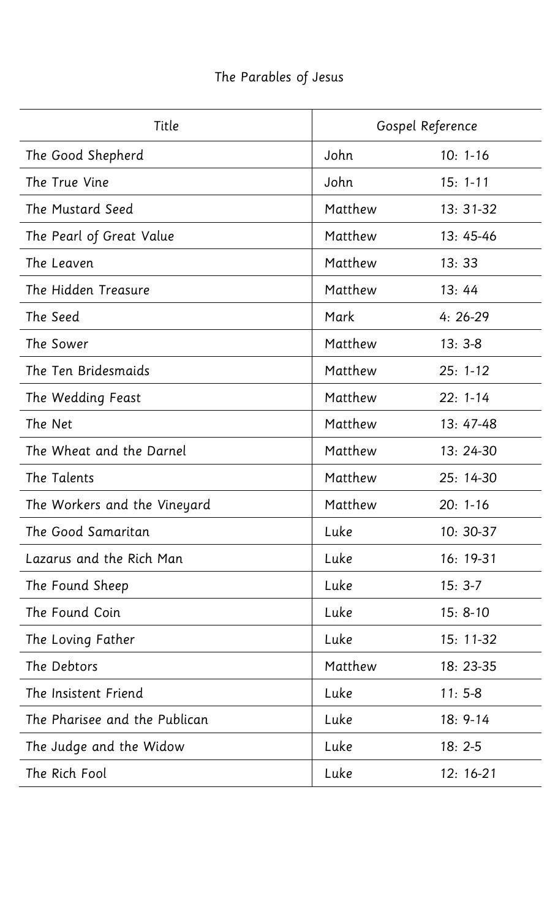### The Parables of Jesus

| Title                         | Gospel Reference |              |
|-------------------------------|------------------|--------------|
| The Good Shepherd             | John             | $10: 1 - 16$ |
| The True Vine                 | John             | $15: 1 - 11$ |
| The Mustard Seed              | Matthew          | $13:31-32$   |
| The Pearl of Great Value      | Matthew          | $13:45-46$   |
| The Leaven                    | Matthew          | 13:33        |
| The Hidden Treasure           | Matthew          | 13:44        |
| The Seed                      | Mark             | $4:26-29$    |
| The Sower                     | Matthew          | $13:3-8$     |
| The Ten Bridesmaids           | Matthew          | $25: 1-12$   |
| The Wedding Feast             | Matthew          | $22: 1 - 14$ |
| The Net                       | Matthew          | $13:47-48$   |
| The Wheat and the Darnel      | Matthew          | $13:24-30$   |
| The Talents                   | Matthew          | $25:14-30$   |
| The Workers and the Vineyard  | Matthew          | $20: 1-16$   |
| The Good Samaritan            | Luke             | $10: 30-37$  |
| Lazarus and the Rich Man      | Luke             | $16: 19-31$  |
| The Found Sheep               | Luke             | $15:3-7$     |
| The Found Coin                | Luke             | $15: 8-10$   |
| The Loving Father             | Luke             | $15: 11-32$  |
| The Debtors                   | Matthew          | $18:23-35$   |
| The Insistent Friend          | Luke             | $11:5-8$     |
| The Pharisee and the Publican | Luke             | $18: 9-14$   |
| The Judge and the Widow       | Luke             | $18:2-5$     |
| The Rich Fool                 | Luke             | $12: 16-21$  |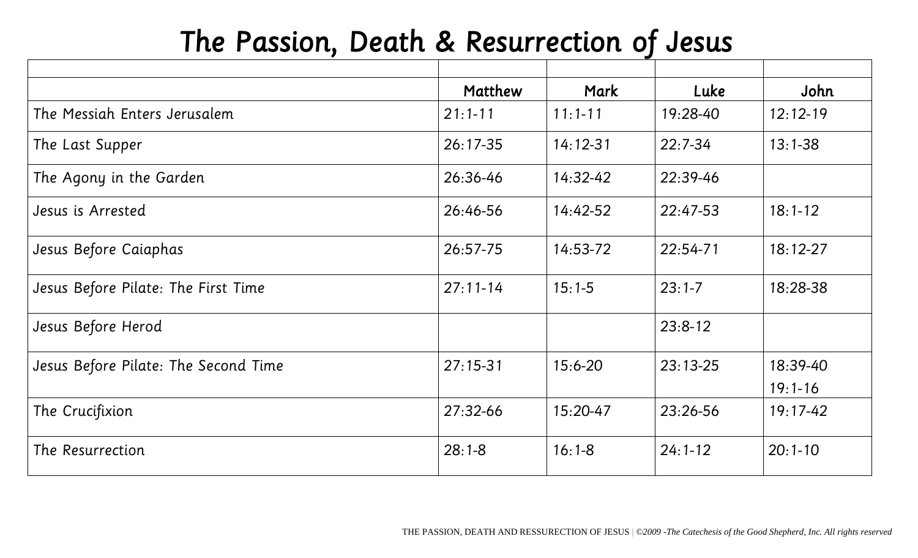## The Passion, Death & Resurrection of Jesus

|                                      | Matthew      | Mark         | Luke       | John         |
|--------------------------------------|--------------|--------------|------------|--------------|
| The Messiah Enters Jerusalem         | $21:1 - 11$  | $11:1 - 11$  | 19:28-40   | $12:12-19$   |
| The Last Supper                      | $26:17-35$   | $14:12 - 31$ | $22:7-34$  | $13:1 - 38$  |
| The Agony in the Garden              | 26:36-46     | $14:32 - 42$ | $22:39-46$ |              |
| Jesus is Arrested                    | 26:46-56     | $14:42-52$   | $22:47-53$ | $18:1 - 12$  |
| Jesus Before Caiaphas                | $26:57-75$   | $14:53-72$   | $22:54-71$ | $18:12 - 27$ |
| Jesus Before Pilate: The First Time  | $27:11 - 14$ | $15:1-5$     | $23:1 - 7$ | 18:28-38     |
| Jesus Before Herod                   |              |              | $23:8-12$  |              |
| Jesus Before Pilate: The Second Time | $27:15-31$   | $15:6 - 20$  | $23:13-25$ | 18:39-40     |
|                                      |              |              |            | $19:1 - 16$  |
| The Crucifixion                      | $27:32-66$   | $15:20-47$   | $23:26-56$ | $19:17-42$   |
| The Resurrection                     | $28:1 - 8$   | $16:1 - 8$   | $24:1-12$  | $20:1-10$    |